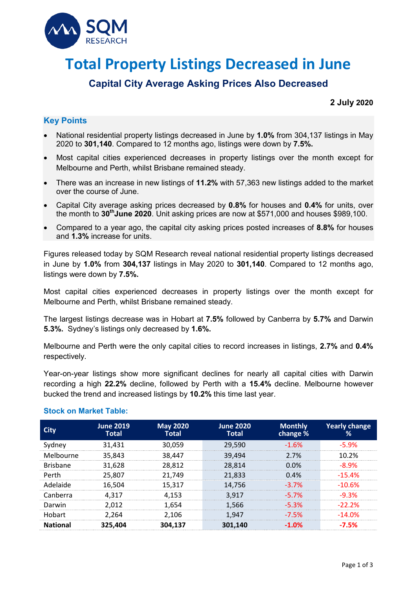

# **Total Property Listings Decreased in June**

# **Capital City Average Asking Prices Also Decreased**

#### **2 July 2020**

## **Key Points**

- National residential property listings decreased in June by **1.0%** from 304,137 listings in May 2020 to **301,140**. Compared to 12 months ago, listings were down by **7.5%.**
- Most capital cities experienced decreases in property listings over the month except for Melbourne and Perth, whilst Brisbane remained steady.
- There was an increase in new listings of **11.2%** with 57,363 new listings added to the market over the course of June.
- Capital City average asking prices decreased by **0.8%** for houses and **0.4%** for units, over the month to **30thJune 2020**. Unit asking prices are now at \$571,000 and houses \$989,100.
- Compared to a year ago, the capital city asking prices posted increases of **8.8%** for houses and **1.3%** increase for units.

Figures released today by SQM Research reveal national residential property listings decreased in June by **1.0%** from **304,137** listings in May 2020 to **301,140**. Compared to 12 months ago, listings were down by **7.5%.**

Most capital cities experienced decreases in property listings over the month except for Melbourne and Perth, whilst Brisbane remained steady.

The largest listings decrease was in Hobart at **7.5%** followed by Canberra by **5.7%** and Darwin **5.3%.** Sydney's listings only decreased by **1.6%.**

Melbourne and Perth were the only capital cities to record increases in listings, **2.7%** and **0.4%**  respectively.

Year-on-year listings show more significant declines for nearly all capital cities with Darwin recording a high **22.2%** decline, followed by Perth with a **15.4%** decline. Melbourne however bucked the trend and increased listings by **10.2%** this time last year.

| City            | <b>June 2019</b><br><b>Total</b> | <b>May 2020</b><br>Total | <b>June 2020</b><br><b>Total</b> | <b>Monthly</b><br>change % | <b>Yearly change</b><br>% |
|-----------------|----------------------------------|--------------------------|----------------------------------|----------------------------|---------------------------|
| Svdnev          | 31.431                           | 30.059                   | 29,590                           | $-1.6%$                    | -5 9%                     |
| Melbourne       | 35,843                           | 38,447                   | 39,494                           | 2.7%                       | 1በ ን%                     |
| <b>Brisbane</b> | 31,628                           | 28,812                   | 28.814                           | $0.0\%$                    | $-89\%$                   |
| Perth           | 25.807                           | 21.749                   | 21.833                           | 0.4%                       | $-15.4%$                  |
| Adelaide        | 16.504                           | 15,317                   | 14.756                           | -3.7%                      | -10.6%                    |
| Canberra        | 4.317                            | 4.153                    | 3.917                            | $-5.7%$                    | $-9.3\%$                  |
| Darwin          | 2.012                            | 1.654                    | 1.566                            | $-5.3%$                    | $-22.2\%$                 |
| Hobart          | 2.264                            | 2.106                    | 1.947                            | $-7.5%$                    | $-14.0\%$                 |
| <b>National</b> | 325.404                          | 304.137                  | 301,140                          | -1 በ%                      | -7.5%                     |

### **Stock on Market Table:**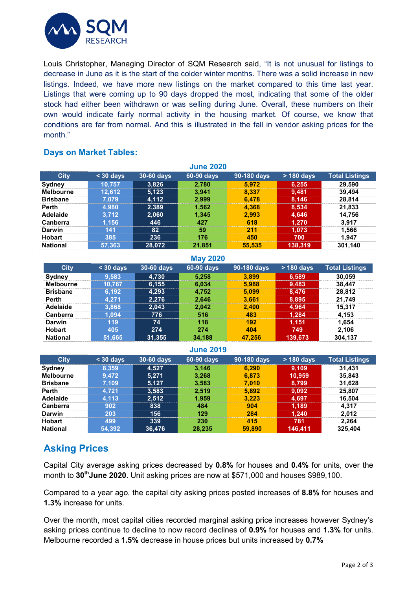

Louis Christopher, Managing Director of SQM Research said, "It is not unusual for listings to decrease in June as it is the start of the colder winter months. There was a solid increase in new listings. Indeed, we have more new listings on the market compared to this time last year. Listings that were coming up to 90 days dropped the most, indicating that some of the older stock had either been withdrawn or was selling during June. Overall, these numbers on their own would indicate fairly normal activity in the housing market. Of course, we know that conditions are far from normal. And this is illustrated in the fall in vendor asking prices for the month."

### **Days on Market Tables:**

| <b>June 2020</b> |           |            |            |             |              |                       |  |
|------------------|-----------|------------|------------|-------------|--------------|-----------------------|--|
| <b>City</b>      | $30$ days | 30-60 days | 60-90 days | 90-180 days | $> 180$ days | <b>Total Listings</b> |  |
| <b>Sydney</b>    | 10.757    | 3,826      | 2.780      | 5.972       | 6,255        | 29.590                |  |
| <b>Melbourne</b> | 12.612    | 5,123      | 3.941      | 8.337       | 9,481        | 39.494                |  |
| <b>Brisbane</b>  | 7.079     | 4,112      | 2.999      | 6.478       | 8,146        | 28.814                |  |
| Perth            | 4.980     | 2,389      | 1.562      | 4.368       | 8,534        | 21.833                |  |
| Adelaide         | 3.712     | 2.060      | 1,345      | 2.993       | 4,646        | 14.756                |  |
| <b>Canberra</b>  | 1.156     | 446        | 427        | 618         | 1.270        | 3.917                 |  |
| Darwin           | 141       | 82         | 59         | 211         | 1.073        | 1.566                 |  |
| <b>Hobart</b>    | 385       | 236        | 176        | 450         | 700          | 1.947                 |  |
| <b>National</b>  | 57.363    | 28,072     | 21,851     | 55,535      | 138,319      | 301,140               |  |

| <b>May 2020</b>  |           |            |            |             |              |                       |  |
|------------------|-----------|------------|------------|-------------|--------------|-----------------------|--|
| <b>City</b>      | $30$ days | 30-60 days | 60-90 days | 90-180 days | $> 180$ days | <b>Total Listings</b> |  |
| Sydney           | 9.583     | 4,730      | 5,258      | 3.899       | 6,589        | 30,059                |  |
| <b>Melbourne</b> | 10.787    | 6,155      | 6.034      | 5.988       | 9,483        | 38.447                |  |
| <b>Brisbane</b>  | 6,192     | 4,293      | 4,752      | 5.099       | 8,476        | 28.812                |  |
| <b>Perth</b>     | 4.271     | 2.276      | 2,646      | 3.661       | 8,895        | 21.749                |  |
| Adelaide         | 3,868     | 2,043      | 2,042      | 2,400       | 4.964        | 15.317                |  |
| <b>Canberra</b>  | 1.094     | 776        | 516        | 483         | 1,284        | 4.153                 |  |
| Darwin           | 119       | 74         | 118        | 192         | 1,151        | 1.654                 |  |
| <b>Hobart</b>    | 405       | 274        | 274        | 404         | 749          | 2.106                 |  |
| <b>National</b>  | 51.665    | 31,355     | 34.188     | 47.256      | 139,673      | 304.137               |  |

#### **June 2019**

| <b>City</b>      | $<$ 30 days | 30-60 days | 60-90 days | 90-180 days | $>$ 180 days | <b>Total Listings</b> |
|------------------|-------------|------------|------------|-------------|--------------|-----------------------|
| Sydney           | 8.359       | 4.527      | 3.146      | 6.290       | 9.109        | 31.431                |
| <b>Melbourne</b> | 9.472       | 5.271      | 3.268      | 6.873       | 10.959       | 35,843                |
| <b>Brisbane</b>  | 7.109       | 5.127      | 3,583      | 7.010       | 8.799        | 31.628                |
| Perth            | 4.721       | 3,583      | 2.519      | 5.892       | 9,092        | 25.807                |
| Adelaide         | 4.113       | 2.512      | 1.959      | 3.223       | 4.697        | 16.504                |
| <b>Canberra</b>  | 902         | 838        | 484        | 904         | 1.189        | 4.317                 |
| Darwin           | 203         | 156        | 129        | 284         | 1.240        | 2.012                 |
| <b>Hobart</b>    | 499         | 339        | 230        | 415         | 781          | 2.264                 |
| <b>National</b>  | 54,392      | 36.476     | 28.235     | 59,890      | 146.411      | 325.404               |

## **Asking Prices**

Capital City average asking prices decreased by **0.8%** for houses and **0.4%** for units, over the month to 30<sup>th</sup>June 2020. Unit asking prices are now at \$571,000 and houses \$989,100.

Compared to a year ago, the capital city asking prices posted increases of **8.8%** for houses and **1.3%** increase for units.

Over the month, most capital cities recorded marginal asking price increases however Sydney's asking prices continue to decline to now record declines of **0.9%** for houses and **1.3%** for units. Melbourne recorded a **1.5%** decrease in house prices but units increased by **0.7%**